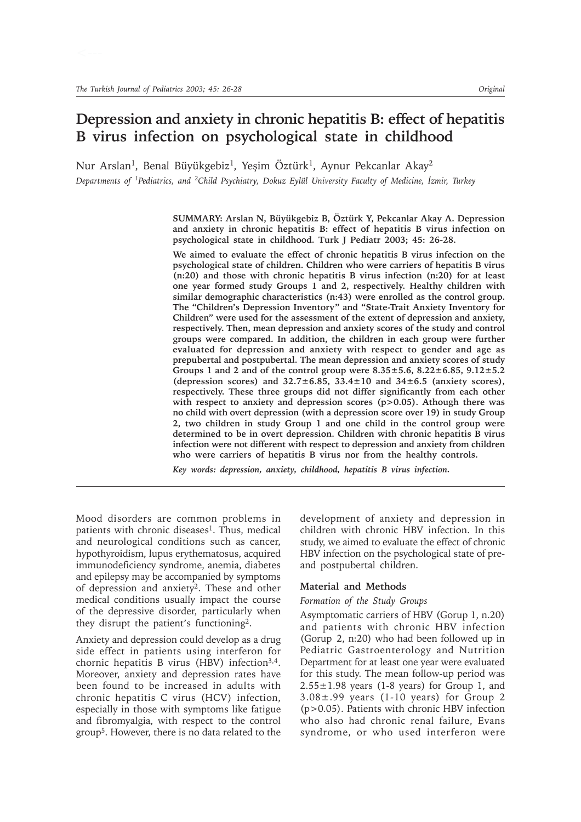# **Depression and anxiety in chronic hepatitis B: effect of hepatitis B virus infection on psychological state in childhood**

Nur Arslan<sup>1</sup>, Benal Büyükgebiz<sup>1</sup>, Yeşim Öztürk<sup>1</sup>, Aynur Pekcanlar Akay<sup>2</sup>

*Departments of <sup>1</sup>Pediatrics, and <sup>2</sup>Child Psychiatry, Dokuz Eylül University Faculty of Medicine, İzmir, Turkey* 

**SUMMARY: Arslan N, Büyükgebiz B, Öztürk Y, Pekcanlar Akay A. Depression and anxiety in chronic hepatitis B: effect of hepatitis B virus infection on psychological state in childhood. Turk J Pediatr 2003; 45: 26-28.**

**We aimed to evaluate the effect of chronic hepatitis B virus infection on the psychological state of children. Children who were carriers of hepatitis B virus (n:20) and those with chronic hepatitis B virus infection (n:20) for at least one year formed study Groups 1 and 2, respectively. Healthy children with similar demographic characteristics (n:43) were enrolled as the control group. The "Children's Depression Inventory" and "State-Trait Anxiety Inventory for Children" were used for the assessment of the extent of depression and anxiety, respectively. Then, mean depression and anxiety scores of the study and control groups were compared. In addition, the children in each group were further evaluated for depression and anxiety with respect to gender and age as prepubertal and postpubertal. The mean depression and anxiety scores of study Groups 1 and 2 and of the control group were 8.35±5.6, 8.22±6.85, 9.12±5.2 (depression scores) and 32.7±6.85, 33.4±10 and 34±6.5 (anxiety scores), respectively. These three groups did not differ significantly from each other with respect to anxiety and depression scores (p>0.05). Athough there was no child with overt depression (with a depression score over 19) in study Group 2, two children in study Group 1 and one child in the control group were determined to be in overt depression. Children with chronic hepatitis B virus infection were not different with respect to depression and anxiety from children who were carriers of hepatitis B virus nor from the healthy controls.**

*Key words: depression, anxiety, childhood, hepatitis B virus infection.*

Mood disorders are common problems in patients with chronic diseases<sup>1</sup>. Thus, medical and neurological conditions such as cancer, hypothyroidism, lupus erythematosus, acquired immunodeficiency syndrome, anemia, diabetes and epilepsy may be accompanied by symptoms of depression and anxiety2. These and other medical conditions usually impact the course of the depressive disorder, particularly when they disrupt the patient's functioning2.

Anxiety and depression could develop as a drug side effect in patients using interferon for chornic hepatitis B virus (HBV) infection $3,4$ . Moreover, anxiety and depression rates have been found to be increased in adults with chronic hepatitis C virus (HCV) infection, especially in those with symptoms like fatigue and fibromyalgia, with respect to the control group5. However, there is no data related to the

development of anxiety and depression in children with chronic HBV infection. In this study, we aimed to evaluate the effect of chronic HBV infection on the psychological state of preand postpubertal children.

#### **Material and Methods**

#### *Formation of the Study Groups*

Asymptomatic carriers of HBV (Gorup 1, n.20) and patients with chronic HBV infection (Gorup 2, n:20) who had been followed up in Pediatric Gastroenterology and Nutrition Department for at least one year were evaluated for this study. The mean follow-up period was  $2.55 \pm 1.98$  years (1-8 years) for Group 1, and  $3.08 \pm .99$  years (1-10 years) for Group 2 (p>0.05). Patients with chronic HBV infection who also had chronic renal failure, Evans syndrome, or who used interferon were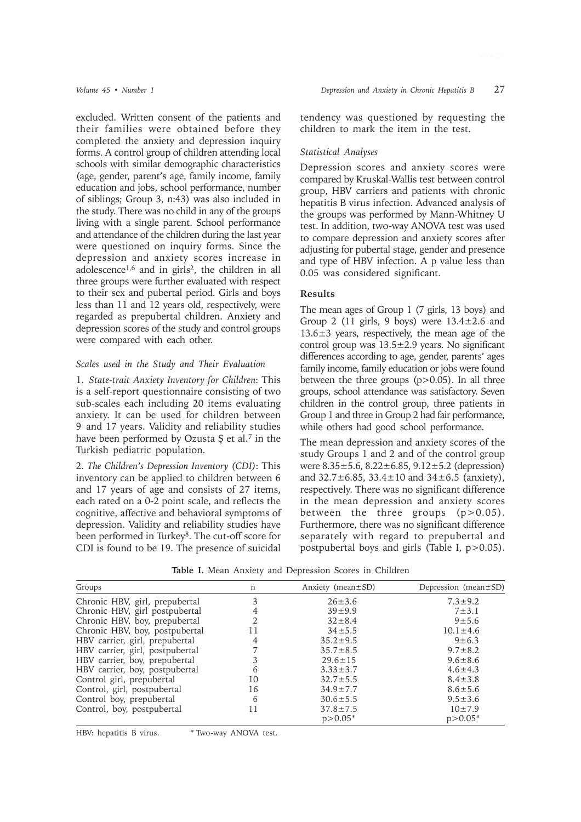excluded. Written consent of the patients and their families were obtained before they completed the anxiety and depression inquiry forms. A control group of children attending local schools with similar demographic characteristics (age, gender, parent's age, family income, family education and jobs, school performance, number of siblings; Group 3, n:43) was also included in the study. There was no child in any of the groups living with a single parent. School performance and attendance of the children during the last year were questioned on inquiry forms. Since the depression and anxiety scores increase in adolescence<sup>1,6</sup> and in girls<sup>2</sup>, the children in all three groups were further evaluated with respect to their sex and pubertal period. Girls and boys less than 11 and 12 years old, respectively, were regarded as prepubertal children. Anxiety and depression scores of the study and control groups were compared with each other.

### *Scales used in the Study and Their Evaluation*

1. *State-trait Anxiety Inventory for Children*: This is a self-report questionnaire consisting of two sub-scales each including 20 items evaluating anxiety. It can be used for children between 9 and 17 years. Validity and reliability studies have been performed by Ozusta Ş et al.<sup>7</sup> in the Turkish pediatric population.

2. *The Children's Depression Inventory (CDI)*: This inventory can be applied to children between 6 and 17 years of age and consists of 27 items, each rated on a 0-2 point scale, and reflects the cognitive, affective and behavioral symptoms of depression. Validity and reliability studies have been performed in Turkey<sup>8</sup>. The cut-off score for CDI is found to be 19. The presence of suicidal tendency was questioned by requesting the children to mark the item in the test.

### *Statistical Analyses*

Depression scores and anxiety scores were compared by Kruskal-Wallis test between control group, HBV carriers and patients with chronic hepatitis B virus infection. Advanced analysis of the groups was performed by Mann-Whitney U test. In addition, two-way ANOVA test was used to compare depression and anxiety scores after adjusting for pubertal stage, gender and presence and type of HBV infection. A p value less than 0.05 was considered significant.

## **Results**

The mean ages of Group 1 (7 girls, 13 boys) and Group 2 (11 girls, 9 boys) were  $13.4 \pm 2.6$  and  $13.6\pm3$  years, respectively, the mean age of the control group was  $13.5 \pm 2.9$  years. No significant differences according to age, gender, parents' ages family income, family education or jobs were found between the three groups  $(p>0.05)$ . In all three groups, school attendance was satisfactory. Seven children in the control group, three patients in Group 1 and three in Group 2 had fair performance, while others had good school performance.

The mean depression and anxiety scores of the study Groups 1 and 2 and of the control group were 8.35±5.6, 8.22±6.85, 9.12±5.2 (depression) and  $32.7 \pm 6.85$ ,  $33.4 \pm 10$  and  $34 \pm 6.5$  (anxiety), respectively. There was no significant difference in the mean depression and anxiety scores between the three groups  $(p>0.05)$ . Furthermore, there was no significant difference separately with regard to prepubertal and postpubertal boys and girls (Table I, p>0.05).

**Table I.** Mean Anxiety and Depression Scores in Children

| Groups                          | n  | Anxiety (mean $\pm$ SD) | Depression (mean $\pm$ SD) |
|---------------------------------|----|-------------------------|----------------------------|
| Chronic HBV, girl, prepubertal  | 3  | $26 \pm 3.6$            | $7.3 \pm 9.2$              |
| Chronic HBV, girl postpubertal  | 4  | $39 + 9.9$              | $7 + 3.1$                  |
| Chronic HBV, boy, prepubertal   |    | $32 \pm 8.4$            | $9 + 5.6$                  |
| Chronic HBV, boy, postpubertal  | 11 | $34 \pm 5.5$            | $10.1 \pm 4.6$             |
| HBV carrier, girl, prepubertal  | 4  | $35.2 \pm 9.5$          | $9 \pm 6.3$                |
| HBV carrier, girl, postpubertal |    | $35.7 \pm 8.5$          | $9.7 \pm 8.2$              |
| HBV carrier, boy, prepubertal   |    | $29.6 \pm 15$           | $9.6 \pm 8.6$              |
| HBV carrier, boy, postpubertal  | 6  | $3.33 \pm 3.7$          | $4.6 \pm 4.3$              |
| Control girl, prepubertal       | 10 | $32.7 \pm 5.5$          | $8.4 \pm 3.8$              |
| Control, girl, postpubertal     | 16 | $34.9 \pm 7.7$          | $8.6 \pm 5.6$              |
| Control boy, prepubertal        | 6  | $30.6 \pm 5.5$          | $9.5 \pm 3.6$              |
| Control, boy, postpubertal      | 11 | $37.8 \pm 7.5$          | $10 \pm 7.9$               |
|                                 |    | $p > 0.05*$             | $p > 0.05*$                |

HBV: hepatitis B virus. \* Two-way ANOVA test.